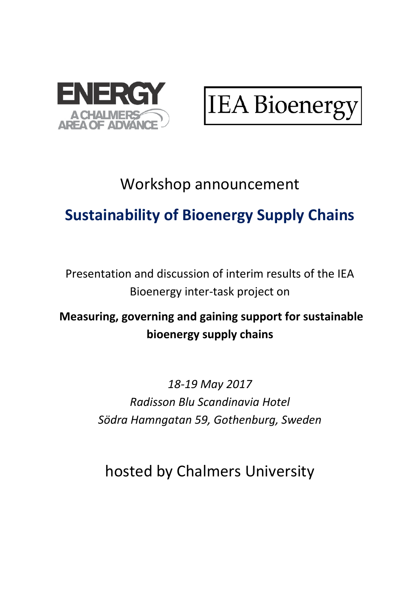

**IEA Bioenerg** 

#### Workshop announcement

# **Sustainability of Bioenergy Supply Chains**

Presentation and discussion of interim results of the IEA Bioenergy inter-task project on

#### **Measuring, governing and gaining support for sustainable bioenergy supply chains**

*18-19 May 2017 Radisson Blu Scandinavia Hotel Södra Hamngatan 59, Gothenburg, Sweden*

hosted by Chalmers University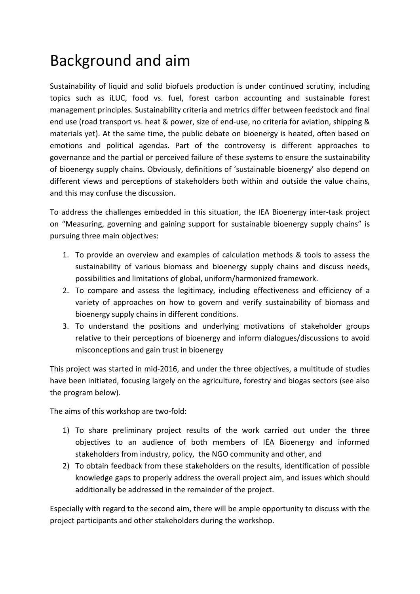#### Background and aim

Sustainability of liquid and solid biofuels production is under continued scrutiny, including topics such as iLUC, food vs. fuel, forest carbon accounting and sustainable forest management principles. Sustainability criteria and metrics differ between feedstock and final end use (road transport vs. heat & power, size of end-use, no criteria for aviation, shipping & materials yet). At the same time, the public debate on bioenergy is heated, often based on emotions and political agendas. Part of the controversy is different approaches to governance and the partial or perceived failure of these systems to ensure the sustainability of bioenergy supply chains. Obviously, definitions of 'sustainable bioenergy' also depend on different views and perceptions of stakeholders both within and outside the value chains, and this may confuse the discussion.

To address the challenges embedded in this situation, the IEA Bioenergy inter-task project on "Measuring, governing and gaining support for sustainable bioenergy supply chains" is pursuing three main objectives:

- 1. To provide an overview and examples of calculation methods & tools to assess the sustainability of various biomass and bioenergy supply chains and discuss needs, possibilities and limitations of global, uniform/harmonized framework.
- 2. To compare and assess the legitimacy, including effectiveness and efficiency of a variety of approaches on how to govern and verify sustainability of biomass and bioenergy supply chains in different conditions.
- 3. To understand the positions and underlying motivations of stakeholder groups relative to their perceptions of bioenergy and inform dialogues/discussions to avoid misconceptions and gain trust in bioenergy

This project was started in mid-2016, and under the three objectives, a multitude of studies have been initiated, focusing largely on the agriculture, forestry and biogas sectors (see also the program below).

The aims of this workshop are two-fold:

- 1) To share preliminary project results of the work carried out under the three objectives to an audience of both members of IEA Bioenergy and informed stakeholders from industry, policy, the NGO community and other, and
- 2) To obtain feedback from these stakeholders on the results, identification of possible knowledge gaps to properly address the overall project aim, and issues which should additionally be addressed in the remainder of the project.

Especially with regard to the second aim, there will be ample opportunity to discuss with the project participants and other stakeholders during the workshop.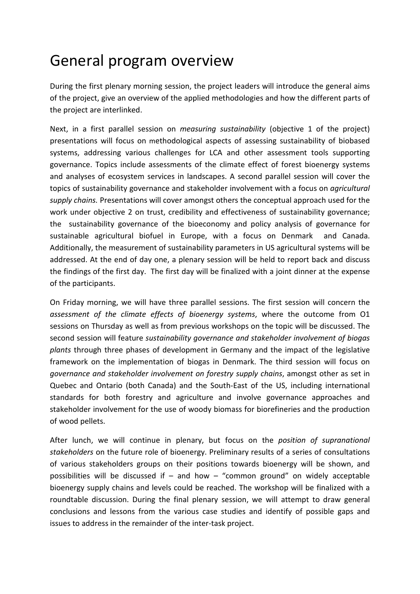### General program overview

During the first plenary morning session, the project leaders will introduce the general aims of the project, give an overview of the applied methodologies and how the different parts of the project are interlinked.

Next, in a first parallel session on *measuring sustainability* (objective 1 of the project) presentations will focus on methodological aspects of assessing sustainability of biobased systems, addressing various challenges for LCA and other assessment tools supporting governance. Topics include assessments of the climate effect of forest bioenergy systems and analyses of ecosystem services in landscapes. A second parallel session will cover the topics of sustainability governance and stakeholder involvement with a focus on *agricultural supply chains.* Presentations will cover amongst others the conceptual approach used for the work under objective 2 on trust, credibility and effectiveness of sustainability governance; the sustainability governance of the bioeconomy and policy analysis of governance for sustainable agricultural biofuel in Europe, with a focus on Denmark and Canada. Additionally, the measurement of sustainability parameters in US agricultural systems will be addressed. At the end of day one, a plenary session will be held to report back and discuss the findings of the first day. The first day will be finalized with a joint dinner at the expense of the participants.

On Friday morning, we will have three parallel sessions. The first session will concern the *assessment of the climate effects of bioenergy systems*, where the outcome from O1 sessions on Thursday as well as from previous workshops on the topic will be discussed. The second session will feature *sustainability governance and stakeholder involvement of biogas plants* through three phases of development in Germany and the impact of the legislative framework on the implementation of biogas in Denmark. The third session will focus on *governance and stakeholder involvement on forestry supply chains*, amongst other as set in Quebec and Ontario (both Canada) and the South-East of the US, including international standards for both forestry and agriculture and involve governance approaches and stakeholder involvement for the use of woody biomass for biorefineries and the production of wood pellets.

After lunch, we will continue in plenary, but focus on the *position of supranational stakeholders* on the future role of bioenergy. Preliminary results of a series of consultations of various stakeholders groups on their positions towards bioenergy will be shown, and possibilities will be discussed if – and how – "common ground" on widely acceptable bioenergy supply chains and levels could be reached. The workshop will be finalized with a roundtable discussion. During the final plenary session, we will attempt to draw general conclusions and lessons from the various case studies and identify of possible gaps and issues to address in the remainder of the inter-task project.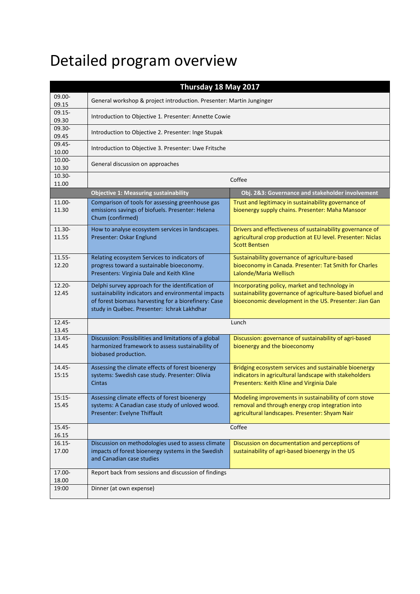# Detailed program overview

| Thursday 18 May 2017 |                                                                                                                                                                                                                |                                                                                                                                                                        |  |  |
|----------------------|----------------------------------------------------------------------------------------------------------------------------------------------------------------------------------------------------------------|------------------------------------------------------------------------------------------------------------------------------------------------------------------------|--|--|
| 09.00-<br>09.15      | General workshop & project introduction. Presenter: Martin Junginger                                                                                                                                           |                                                                                                                                                                        |  |  |
| $09.15 -$            |                                                                                                                                                                                                                |                                                                                                                                                                        |  |  |
| 09.30<br>09.30-      | Introduction to Objective 1. Presenter: Annette Cowie                                                                                                                                                          |                                                                                                                                                                        |  |  |
| 09.45                | Introduction to Objective 2. Presenter: Inge Stupak                                                                                                                                                            |                                                                                                                                                                        |  |  |
| $09.45 -$<br>10.00   | Introduction to Objective 3. Presenter: Uwe Fritsche                                                                                                                                                           |                                                                                                                                                                        |  |  |
| 10.00-<br>10.30      | General discussion on approaches                                                                                                                                                                               |                                                                                                                                                                        |  |  |
| $10.30 -$<br>11.00   | Coffee                                                                                                                                                                                                         |                                                                                                                                                                        |  |  |
|                      | Obj. 2&3: Governance and stakeholder involvement<br><b>Objective 1: Measuring sustainability</b>                                                                                                               |                                                                                                                                                                        |  |  |
| 11.00-<br>11.30      | Comparison of tools for assessing greenhouse gas<br>emissions savings of biofuels. Presenter: Helena<br>Chum (confirmed)                                                                                       | Trust and legitimacy in sustainability governance of<br>bioenergy supply chains. Presenter: Maha Mansoor                                                               |  |  |
| 11.30-<br>11.55      | How to analyse ecosystem services in landscapes.<br>Presenter: Oskar Englund                                                                                                                                   | Drivers and effectiveness of sustainability governance of<br>agricultural crop production at EU level. Presenter: Niclas<br><b>Scott Bentsen</b>                       |  |  |
| 11.55-<br>12.20      | Relating ecosystem Services to indicators of<br>progress toward a sustainable bioeconomy.<br>Presenters: Virginia Dale and Keith Kline                                                                         | Sustainability governance of agriculture-based<br>bioeconomy in Canada. Presenter: Tat Smith for Charles<br>Lalonde/Maria Wellisch                                     |  |  |
| 12.20-<br>12.45      | Delphi survey approach for the identification of<br>sustainability indicators and environmental impacts<br>of forest biomass harvesting for a biorefinery: Case<br>study in Québec. Presenter: Ichrak Lakhdhar | Incorporating policy, market and technology in<br>sustainability governance of agriculture-based biofuel and<br>bioeconomic development in the US. Presenter: Jian Gan |  |  |
| $12.45 -$<br>13.45   | Lunch                                                                                                                                                                                                          |                                                                                                                                                                        |  |  |
| $13.45 -$<br>14.45   | Discussion: Possibilities and limitations of a global<br>harmonized framework to assess sustainability of<br>biobased production.                                                                              | Discussion: governance of sustainability of agri-based<br>bioenergy and the bioeconomy                                                                                 |  |  |
| 14.45-<br>15:15      | Assessing the climate effects of forest bioenergy<br>systems: Swedish case study. Presenter: Olivia<br><b>Cintas</b>                                                                                           | Bridging ecosystem services and sustainable bioenergy<br>indicators in agricultural landscape with stakeholders<br>Presenters: Keith Kline and Virginia Dale           |  |  |
| $15:15-$<br>15.45    | Assessing climate effects of forest bioenergy<br>systems: A Canadian case study of unloved wood.<br>Presenter: Evelyne Thiffault                                                                               | Modeling improvements in sustainability of corn stove<br>removal and through energy crop integration into<br>agricultural landscapes. Presenter: Shyam Nair            |  |  |
| $15.45 -$<br>16.15   | Coffee                                                                                                                                                                                                         |                                                                                                                                                                        |  |  |
| $16.15 -$<br>17.00   | Discussion on methodologies used to assess climate<br>impacts of forest bioenergy systems in the Swedish<br>and Canadian case studies                                                                          | Discussion on documentation and perceptions of<br>sustainability of agri-based bioenergy in the US                                                                     |  |  |
| 17.00-<br>18.00      | Report back from sessions and discussion of findings                                                                                                                                                           |                                                                                                                                                                        |  |  |
| 19:00                | Dinner (at own expense)                                                                                                                                                                                        |                                                                                                                                                                        |  |  |